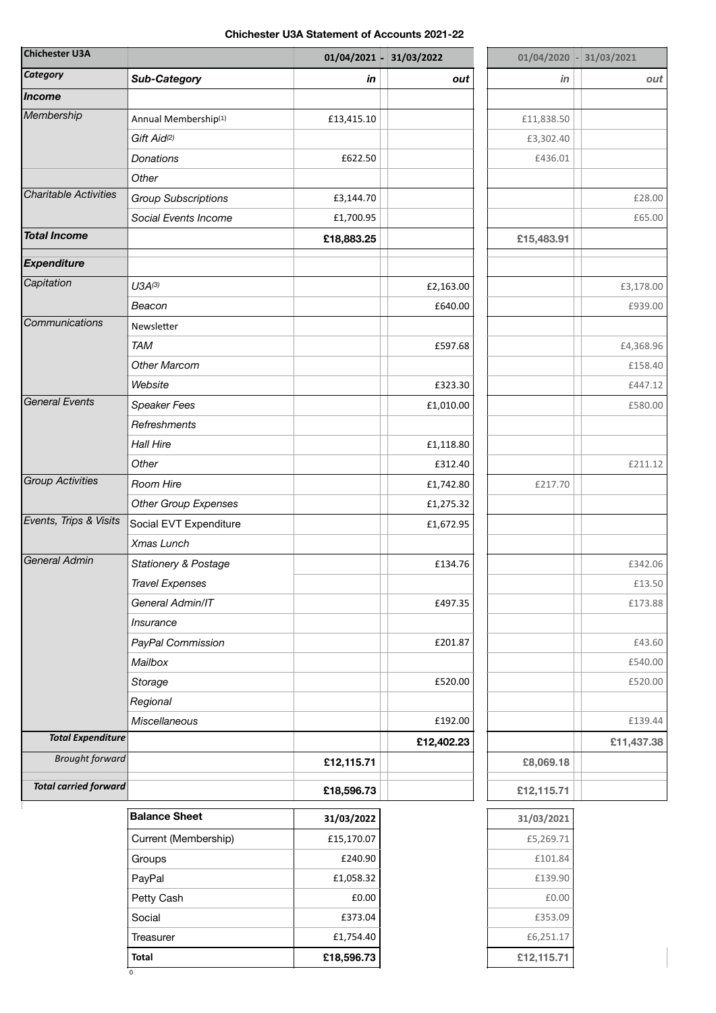## **Chichester U3A Statement of Accounts 2021-22**

| <b>Chichester U3A</b>        |                                  |            | 01/04/2021 - 31/03/2022 | $01/04/2020$ - 31/03/2021 |            |
|------------------------------|----------------------------------|------------|-------------------------|---------------------------|------------|
| Category                     | <b>Sub-Category</b>              | in         | out                     | in                        | out        |
| Income                       |                                  |            |                         |                           |            |
| Membership                   | Annual Membership <sup>(1)</sup> | £13,415.10 |                         | £11,838.50                |            |
|                              | Gift Aid <sup>(2)</sup>          |            |                         | £3,302.40                 |            |
|                              | Donations                        | £622.50    |                         | £436.01                   |            |
|                              | Other                            |            |                         |                           |            |
| <b>Charitable Activities</b> | <b>Group Subscriptions</b>       | £3,144.70  |                         |                           | £28.00     |
|                              | Social Events Income             | £1,700.95  |                         |                           | £65.00     |
| <b>Total Income</b>          |                                  | £18,883.25 |                         | £15,483.91                |            |
| <b>Expenditure</b>           |                                  |            |                         |                           |            |
| Capitation                   | $U3A^{(3)}$                      |            | £2,163.00               |                           | £3,178.00  |
|                              | Beacon                           |            | £640.00                 |                           | £939.00    |
| Communications               | Newsletter                       |            |                         |                           |            |
|                              | <b>TAM</b>                       |            | £597.68                 |                           | £4,368.96  |
|                              | <b>Other Marcom</b>              |            |                         |                           | £158.40    |
|                              | Website                          |            | £323.30                 |                           | £447.12    |
| <b>General Events</b>        | Speaker Fees                     |            | £1,010.00               |                           | £580.00    |
|                              | Refreshments                     |            |                         |                           |            |
|                              | <b>Hall Hire</b>                 |            | £1,118.80               |                           |            |
|                              | Other                            |            | £312.40                 |                           | £211.12    |
| <b>Group Activities</b>      | Room Hire                        |            | £1,742.80               | £217.70                   |            |
|                              | <b>Other Group Expenses</b>      |            | £1,275.32               |                           |            |
| Events, Trips & Visits       | Social EVT Expenditure           |            | £1,672.95               |                           |            |
|                              | Xmas Lunch                       |            |                         |                           |            |
| General Admin                | Stationery & Postage             |            | £134.76                 |                           | £342.06    |
|                              | <b>Travel Expenses</b>           |            |                         |                           | £13.50     |
|                              | General Admin/IT                 |            | £497.35                 |                           | £173.88    |
|                              | Insurance                        |            |                         |                           |            |
|                              | PayPal Commission                |            | £201.87                 |                           | £43.60     |
|                              | Mailbox                          |            |                         |                           | £540.00    |
|                              | Storage                          |            | £520.00                 |                           | £520.00    |
|                              | Regional                         |            |                         |                           |            |
|                              | <b>Miscellaneous</b>             |            | £192.00                 |                           | £139.44    |
| <b>Total Expenditure</b>     |                                  |            | £12,402.23              |                           | £11,437.38 |
| <b>Brought forward</b>       |                                  | £12,115.71 |                         | £8,069.18                 |            |
| <b>Total carried forward</b> |                                  | £18,596.73 |                         | £12,115.71                |            |
|                              | <b>Balance Sheet</b>             | 31/03/2022 |                         | 31/03/2021                |            |

| <b>Balance Sheet</b> | 31/03/2022 | 31/03/2021 |
|----------------------|------------|------------|
| Current (Membership) | £15,170.07 | £5,269.71  |
| Groups               | £240.90    | £101.84    |
| PayPal               | £1,058.32  | £139.90    |
| Petty Cash           | £0.00      | £0.00      |
| Social               | £373.04    | £353.09    |
| Treasurer            | £1,754.40  | £6,251.17  |
| <b>Total</b>         | £18,596.73 | £12,115.71 |
| 0                    |            |            |

| 31/03/2021 |
|------------|
| £5,269.71  |
| £101.84    |
| £139.90    |
| £0.00      |
| £353.09    |
| £6,251.17  |
| £12,115.71 |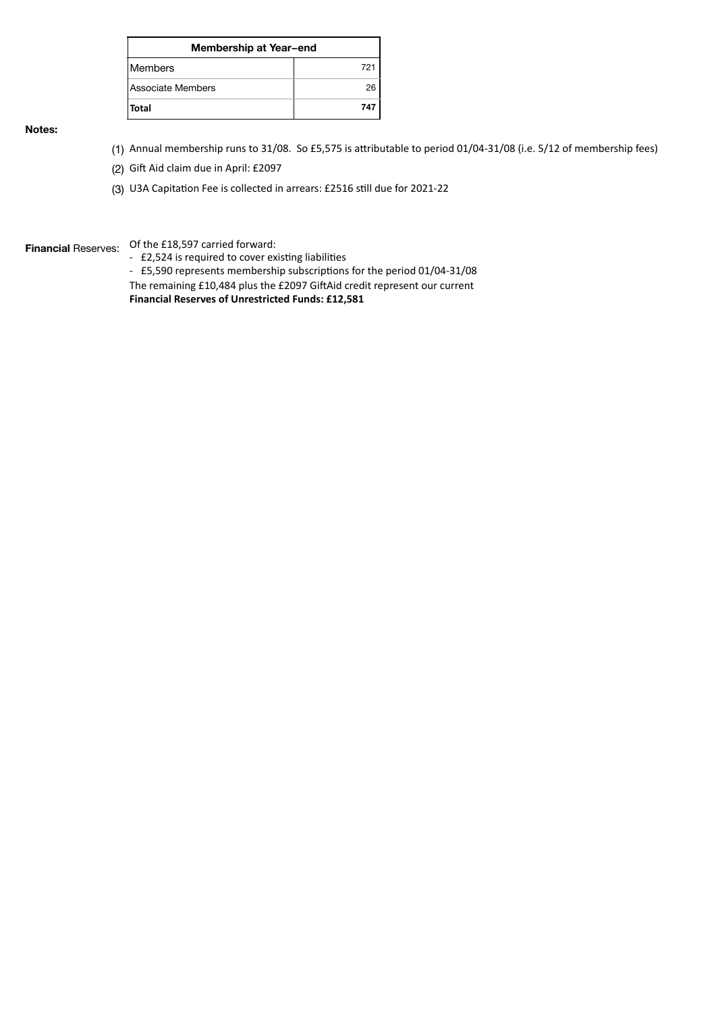| <b>Membership at Year-end</b> |     |  |  |  |
|-------------------------------|-----|--|--|--|
| lMembers                      | 721 |  |  |  |
| Associate Members             | 26  |  |  |  |
| l Total                       | 747 |  |  |  |

## **Notes:**

- (1) Annual membership runs to 31/08. So £5,575 is attributable to period 01/04-31/08 (i.e.  $5/12$  of membership fees)
- (2) Gift Aid claim due in April: £2097
- (3) U3A Capitation Fee is collected in arrears: £2516 still due for 2021-22

**Financial Reserves:** Of the £18,597 carried forward:

- £2,524 is required to cover existing liabilities
- £5,590 represents membership subscriptions for the period 01/04-31/08
- The remaining £10,484 plus the £2097 GiftAid credit represent our current **Financial Reserves of Unrestricted Funds: £12,581**